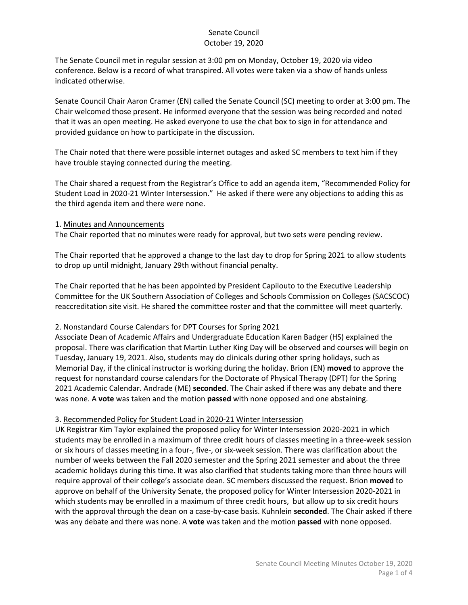The Senate Council met in regular session at 3:00 pm on Monday, October 19, 2020 via video conference. Below is a record of what transpired. All votes were taken via a show of hands unless indicated otherwise.

Senate Council Chair Aaron Cramer (EN) called the Senate Council (SC) meeting to order at 3:00 pm. The Chair welcomed those present. He informed everyone that the session was being recorded and noted that it was an open meeting. He asked everyone to use the chat box to sign in for attendance and provided guidance on how to participate in the discussion.

The Chair noted that there were possible internet outages and asked SC members to text him if they have trouble staying connected during the meeting.

The Chair shared a request from the Registrar's Office to add an agenda item, "Recommended Policy for Student Load in 2020-21 Winter Intersession." He asked if there were any objections to adding this as the third agenda item and there were none.

#### 1. Minutes and Announcements

The Chair reported that no minutes were ready for approval, but two sets were pending review.

The Chair reported that he approved a change to the last day to drop for Spring 2021 to allow students to drop up until midnight, January 29th without financial penalty.

The Chair reported that he has been appointed by President Capilouto to the Executive Leadership Committee for the UK Southern Association of Colleges and Schools Commission on Colleges (SACSCOC) reaccreditation site visit. He shared the committee roster and that the committee will meet quarterly.

## 2. Nonstandard Course Calendars for DPT Courses for Spring 2021

Associate Dean of Academic Affairs and Undergraduate Education Karen Badger (HS) explained the proposal. There was clarification that Martin Luther King Day will be observed and courses will begin on Tuesday, January 19, 2021. Also, students may do clinicals during other spring holidays, such as Memorial Day, if the clinical instructor is working during the holiday. Brion (EN) **moved** to approve the request for nonstandard course calendars for the Doctorate of Physical Therapy (DPT) for the Spring 2021 Academic Calendar. Andrade (ME) **seconded**. The Chair asked if there was any debate and there was none. A **vote** was taken and the motion **passed** with none opposed and one abstaining.

## 3. Recommended Policy for Student Load in 2020-21 Winter Intersession

UK Registrar Kim Taylor explained the proposed policy for Winter Intersession 2020-2021 in which students may be enrolled in a maximum of three credit hours of classes meeting in a three-week session or six hours of classes meeting in a four-, five-, or six-week session. There was clarification about the number of weeks between the Fall 2020 semester and the Spring 2021 semester and about the three academic holidays during this time. It was also clarified that students taking more than three hours will require approval of their college's associate dean. SC members discussed the request. Brion **moved** to approve on behalf of the University Senate, the proposed policy for Winter Intersession 2020-2021 in which students may be enrolled in a maximum of three credit hours, but allow up to six credit hours with the approval through the dean on a case-by-case basis. Kuhnlein **seconded**. The Chair asked if there was any debate and there was none. A **vote** was taken and the motion **passed** with none opposed.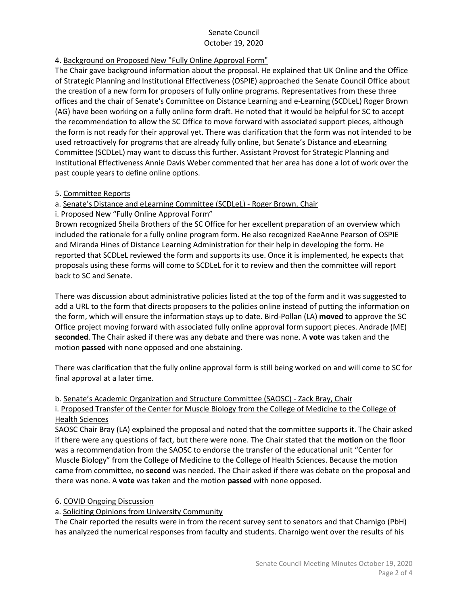# 4. Background on Proposed New "Fully Online Approval Form"

The Chair gave background information about the proposal. He explained that UK Online and the Office of Strategic Planning and Institutional Effectiveness (OSPIE) approached the Senate Council Office about the creation of a new form for proposers of fully online programs. Representatives from these three offices and the chair of Senate's Committee on Distance Learning and e-Learning (SCDLeL) Roger Brown (AG) have been working on a fully online form draft. He noted that it would be helpful for SC to accept the recommendation to allow the SC Office to move forward with associated support pieces, although the form is not ready for their approval yet. There was clarification that the form was not intended to be used retroactively for programs that are already fully online, but Senate's Distance and eLearning Committee (SCDLeL) may want to discuss this further. Assistant Provost for Strategic Planning and Institutional Effectiveness Annie Davis Weber commented that her area has done a lot of work over the past couple years to define online options.

#### 5. Committee Reports

a. Senate's Distance and eLearning Committee (SCDLeL) - Roger Brown, Chair

i. Proposed New "Fully Online Approval Form"

Brown recognized Sheila Brothers of the SC Office for her excellent preparation of an overview which included the rationale for a fully online program form. He also recognized RaeAnne Pearson of OSPIE and Miranda Hines of Distance Learning Administration for their help in developing the form. He reported that SCDLeL reviewed the form and supports its use. Once it is implemented, he expects that proposals using these forms will come to SCDLeL for it to review and then the committee will report back to SC and Senate.

There was discussion about administrative policies listed at the top of the form and it was suggested to add a URL to the form that directs proposers to the policies online instead of putting the information on the form, which will ensure the information stays up to date. Bird-Pollan (LA) **moved** to approve the SC Office project moving forward with associated fully online approval form support pieces. Andrade (ME) **seconded**. The Chair asked if there was any debate and there was none. A **vote** was taken and the motion **passed** with none opposed and one abstaining.

There was clarification that the fully online approval form is still being worked on and will come to SC for final approval at a later time.

## b. Senate's Academic Organization and Structure Committee (SAOSC) - Zack Bray, Chair

#### i. Proposed Transfer of the Center for Muscle Biology from the College of Medicine to the College of Health Sciences

SAOSC Chair Bray (LA) explained the proposal and noted that the committee supports it. The Chair asked if there were any questions of fact, but there were none. The Chair stated that the **motion** on the floor was a recommendation from the SAOSC to endorse the transfer of the educational unit "Center for Muscle Biology" from the College of Medicine to the College of Health Sciences. Because the motion came from committee, no **second** was needed. The Chair asked if there was debate on the proposal and there was none. A **vote** was taken and the motion **passed** with none opposed.

## 6. COVID Ongoing Discussion

## a. Soliciting Opinions from University Community

The Chair reported the results were in from the recent survey sent to senators and that Charnigo (PbH) has analyzed the numerical responses from faculty and students. Charnigo went over the results of his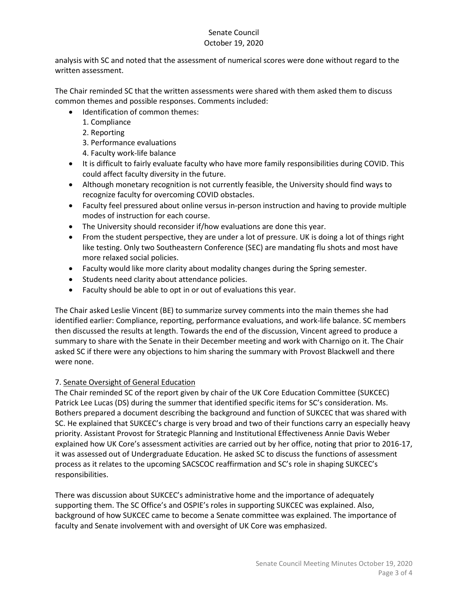analysis with SC and noted that the assessment of numerical scores were done without regard to the written assessment.

The Chair reminded SC that the written assessments were shared with them asked them to discuss common themes and possible responses. Comments included:

- Identification of common themes:
	- 1. Compliance
	- 2. Reporting
	- 3. Performance evaluations
	- 4. Faculty work-life balance
- It is difficult to fairly evaluate faculty who have more family responsibilities during COVID. This could affect faculty diversity in the future.
- Although monetary recognition is not currently feasible, the University should find ways to recognize faculty for overcoming COVID obstacles.
- Faculty feel pressured about online versus in-person instruction and having to provide multiple modes of instruction for each course.
- The University should reconsider if/how evaluations are done this year.
- From the student perspective, they are under a lot of pressure. UK is doing a lot of things right like testing. Only two Southeastern Conference (SEC) are mandating flu shots and most have more relaxed social policies.
- Faculty would like more clarity about modality changes during the Spring semester.
- Students need clarity about attendance policies.
- Faculty should be able to opt in or out of evaluations this year.

The Chair asked Leslie Vincent (BE) to summarize survey comments into the main themes she had identified earlier: Compliance, reporting, performance evaluations, and work-life balance. SC members then discussed the results at length. Towards the end of the discussion, Vincent agreed to produce a summary to share with the Senate in their December meeting and work with Charnigo on it. The Chair asked SC if there were any objections to him sharing the summary with Provost Blackwell and there were none.

## 7. Senate Oversight of General Education

The Chair reminded SC of the report given by chair of the UK Core Education Committee (SUKCEC) Patrick Lee Lucas (DS) during the summer that identified specific items for SC's consideration. Ms. Bothers prepared a document describing the background and function of SUKCEC that was shared with SC. He explained that SUKCEC's charge is very broad and two of their functions carry an especially heavy priority. Assistant Provost for Strategic Planning and Institutional Effectiveness Annie Davis Weber explained how UK Core's assessment activities are carried out by her office, noting that prior to 2016-17, it was assessed out of Undergraduate Education. He asked SC to discuss the functions of assessment process as it relates to the upcoming SACSCOC reaffirmation and SC's role in shaping SUKCEC's responsibilities.

There was discussion about SUKCEC's administrative home and the importance of adequately supporting them. The SC Office's and OSPIE's roles in supporting SUKCEC was explained. Also, background of how SUKCEC came to become a Senate committee was explained. The importance of faculty and Senate involvement with and oversight of UK Core was emphasized.